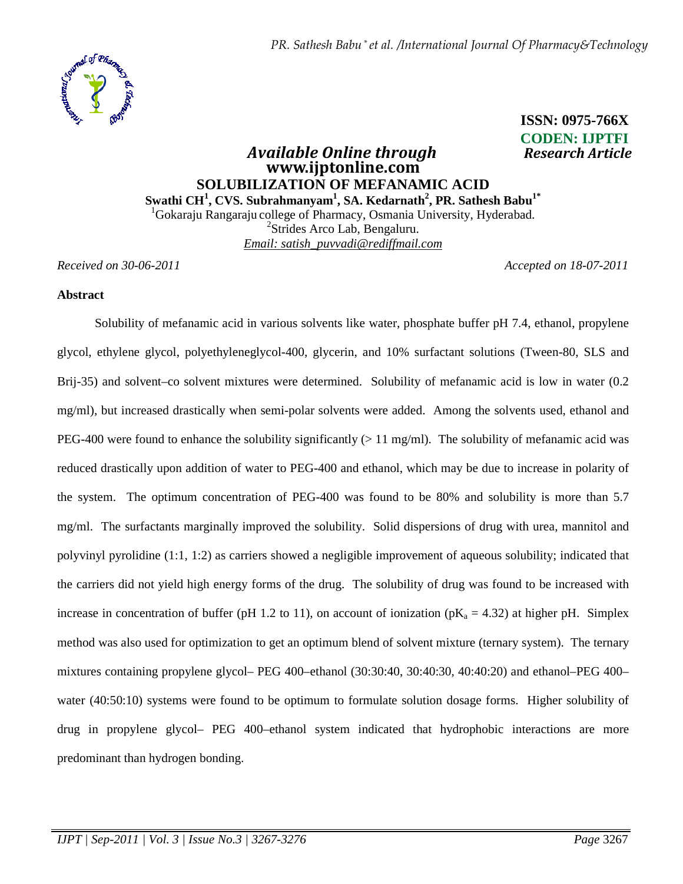*PR. Sathesh Babu \* et al. /International Journal Of Pharmacy&Technology*



# **CODEN: IJPTFI**   *Available Online through Research Article*  **www.ijptonline.com SOLUBILIZATION OF MEFANAMIC ACID Swathi CH<sup>1</sup> , CVS. Subrahmanyam<sup>1</sup> , SA. Kedarnath<sup>2</sup> , PR. Sathesh Babu1\***  <sup>1</sup>Gokaraju Rangaraju college of Pharmacy, Osmania University, Hyderabad.

2 Strides Arco Lab, Bengaluru. *Email: satish\_puvvadi@rediffmail.com*

*Received on 30-06-2011 Accepted on 18-07-2011*

 **ISSN: 0975-766X**

### **Abstract**

Solubility of mefanamic acid in various solvents like water, phosphate buffer pH 7.4, ethanol, propylene glycol, ethylene glycol, polyethyleneglycol-400, glycerin, and 10% surfactant solutions (Tween-80, SLS and Brij-35) and solvent–co solvent mixtures were determined. Solubility of mefanamic acid is low in water (0.2) mg/ml), but increased drastically when semi-polar solvents were added. Among the solvents used, ethanol and PEG-400 were found to enhance the solubility significantly ( $> 11$  mg/ml). The solubility of mefanamic acid was reduced drastically upon addition of water to PEG-400 and ethanol, which may be due to increase in polarity of the system. The optimum concentration of PEG-400 was found to be 80% and solubility is more than 5.7 mg/ml. The surfactants marginally improved the solubility. Solid dispersions of drug with urea, mannitol and polyvinyl pyrolidine (1:1, 1:2) as carriers showed a negligible improvement of aqueous solubility; indicated that the carriers did not yield high energy forms of the drug. The solubility of drug was found to be increased with increase in concentration of buffer (pH 1.2 to 11), on account of ionization (pK<sub>a</sub> = 4.32) at higher pH. Simplex method was also used for optimization to get an optimum blend of solvent mixture (ternary system). The ternary mixtures containing propylene glycol– PEG 400–ethanol (30:30:40, 30:40:30, 40:40:20) and ethanol–PEG 400– water (40:50:10) systems were found to be optimum to formulate solution dosage forms. Higher solubility of drug in propylene glycol– PEG 400–ethanol system indicated that hydrophobic interactions are more predominant than hydrogen bonding.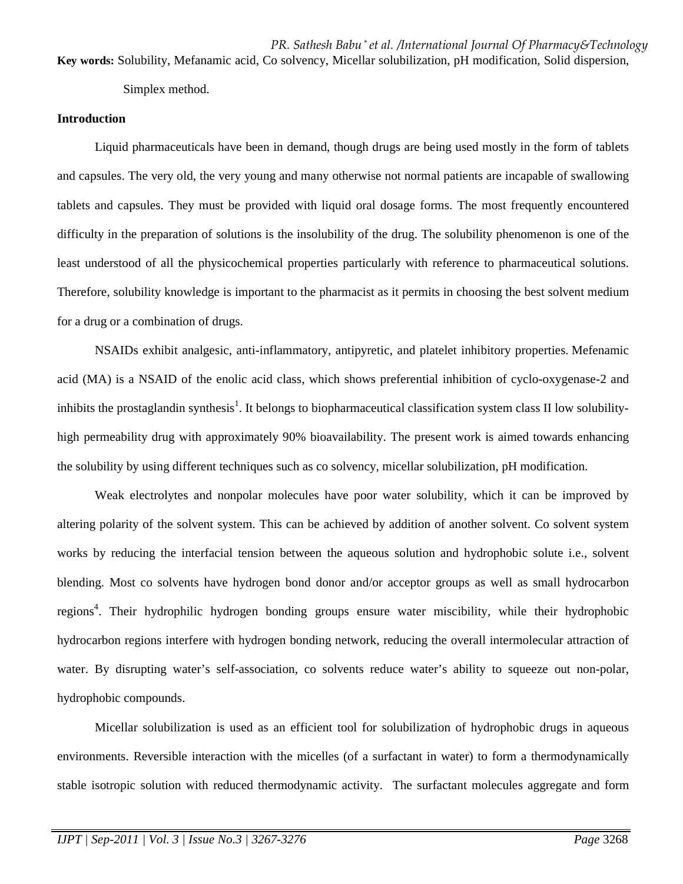*PR. Sathesh Babu \* et al. /International Journal Of Pharmacy&Technology* **Key words:** Solubility, Mefanamic acid, Co solvency, Micellar solubilization, pH modification, Solid dispersion,

Simplex method.

# **Introduction**

Liquid pharmaceuticals have been in demand, though drugs are being used mostly in the form of tablets and capsules. The very old, the very young and many otherwise not normal patients are incapable of swallowing tablets and capsules. They must be provided with liquid oral dosage forms. The most frequently encountered difficulty in the preparation of solutions is the insolubility of the drug. The solubility phenomenon is one of the least understood of all the physicochemical properties particularly with reference to pharmaceutical solutions. Therefore, solubility knowledge is important to the pharmacist as it permits in choosing the best solvent medium for a drug or a combination of drugs.

NSAIDs exhibit analgesic, anti-inflammatory, antipyretic, and platelet inhibitory properties. Mefenamic acid (MA) is a NSAID of the enolic acid class, which shows preferential inhibition of cyclo-oxygenase-2 and inhibits the prostaglandin synthesis<sup>1</sup>. It belongs to biopharmaceutical classification system class II low solubilityhigh permeability drug with approximately 90% bioavailability. The present work is aimed towards enhancing the solubility by using different techniques such as co solvency, micellar solubilization, pH modification.

Weak electrolytes and nonpolar molecules have poor water solubility, which it can be improved by altering polarity of the solvent system. This can be achieved by addition of another solvent. Co solvent system works by reducing the interfacial tension between the aqueous solution and hydrophobic solute i.e., solvent blending. Most co solvents have hydrogen bond donor and/or acceptor groups as well as small hydrocarbon regions<sup>4</sup>. Their hydrophilic hydrogen bonding groups ensure water miscibility, while their hydrophobic hydrocarbon regions interfere with hydrogen bonding network, reducing the overall intermolecular attraction of water. By disrupting water's self-association, co solvents reduce water's ability to squeeze out non-polar, hydrophobic compounds.

Micellar solubilization is used as an efficient tool for solubilization of hydrophobic drugs in aqueous environments. Reversible interaction with the micelles (of a surfactant in water) to form a thermodynamically stable isotropic solution with reduced thermodynamic activity. The surfactant molecules aggregate and form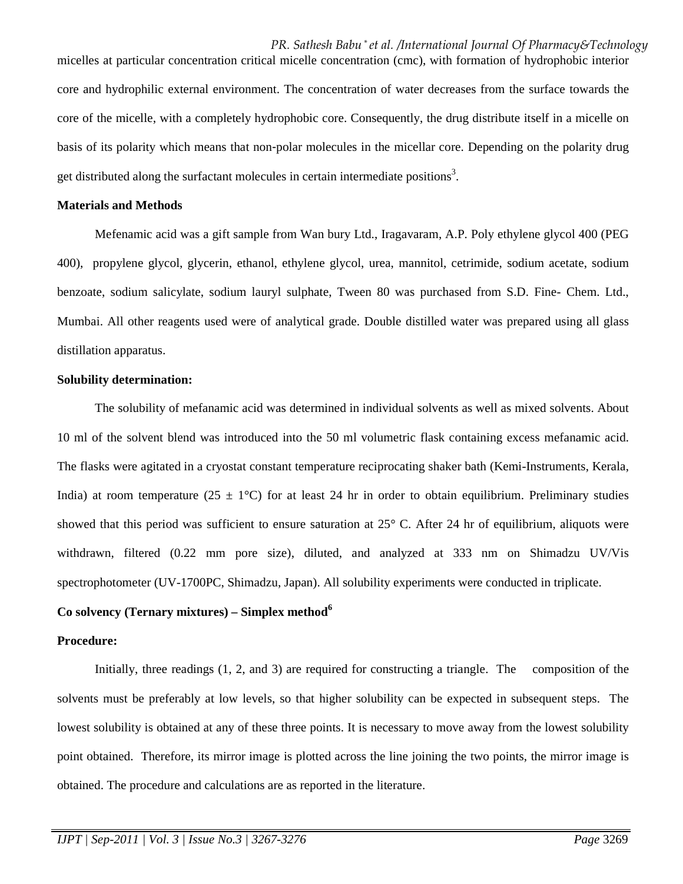*PR. Sathesh Babu \* et al. /International Journal Of Pharmacy&Technology* micelles at particular concentration critical micelle concentration (cmc), with formation of hydrophobic interior

core and hydrophilic external environment. The concentration of water decreases from the surface towards the core of the micelle, with a completely hydrophobic core. Consequently, the drug distribute itself in a micelle on basis of its polarity which means that non-polar molecules in the micellar core. Depending on the polarity drug get distributed along the surfactant molecules in certain intermediate positions<sup>3</sup>.

#### **Materials and Methods**

Mefenamic acid was a gift sample from Wan bury Ltd., Iragavaram, A.P. Poly ethylene glycol 400 (PEG 400), propylene glycol, glycerin, ethanol, ethylene glycol, urea, mannitol, cetrimide, sodium acetate, sodium benzoate, sodium salicylate, sodium lauryl sulphate, Tween 80 was purchased from S.D. Fine- Chem. Ltd., Mumbai. All other reagents used were of analytical grade. Double distilled water was prepared using all glass distillation apparatus.

#### **Solubility determination:**

The solubility of mefanamic acid was determined in individual solvents as well as mixed solvents. About 10 ml of the solvent blend was introduced into the 50 ml volumetric flask containing excess mefanamic acid. The flasks were agitated in a cryostat constant temperature reciprocating shaker bath (Kemi-Instruments, Kerala, India) at room temperature (25  $\pm$  1°C) for at least 24 hr in order to obtain equilibrium. Preliminary studies showed that this period was sufficient to ensure saturation at 25° C. After 24 hr of equilibrium, aliquots were withdrawn, filtered (0.22 mm pore size), diluted, and analyzed at 333 nm on Shimadzu UV/Vis spectrophotometer (UV-1700PC, Shimadzu, Japan). All solubility experiments were conducted in triplicate.

# **Co solvency (Ternary mixtures) – Simplex method<sup>6</sup>**

# **Procedure:**

Initially, three readings (1, 2, and 3) are required for constructing a triangle. The composition of the solvents must be preferably at low levels, so that higher solubility can be expected in subsequent steps. The lowest solubility is obtained at any of these three points. It is necessary to move away from the lowest solubility point obtained. Therefore, its mirror image is plotted across the line joining the two points, the mirror image is obtained. The procedure and calculations are as reported in the literature.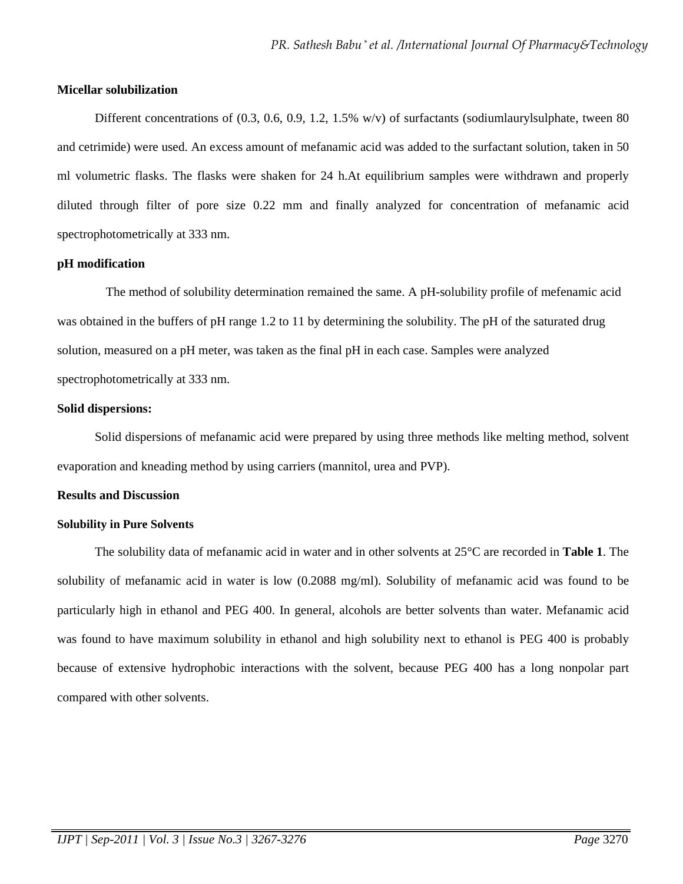#### **Micellar solubilization**

Different concentrations of  $(0.3, 0.6, 0.9, 1.2, 1.5\% \text{ w/v})$  of surfactants (sodiumlaurylsulphate, tween 80 and cetrimide) were used. An excess amount of mefanamic acid was added to the surfactant solution, taken in 50 ml volumetric flasks. The flasks were shaken for 24 h.At equilibrium samples were withdrawn and properly diluted through filter of pore size 0.22 mm and finally analyzed for concentration of mefanamic acid spectrophotometrically at 333 nm.

# **pH modification**

 The method of solubility determination remained the same. A pH-solubility profile of mefenamic acid was obtained in the buffers of pH range 1.2 to 11 by determining the solubility. The pH of the saturated drug solution, measured on a pH meter, was taken as the final pH in each case. Samples were analyzed spectrophotometrically at 333 nm.

# **Solid dispersions:**

Solid dispersions of mefanamic acid were prepared by using three methods like melting method, solvent evaporation and kneading method by using carriers (mannitol, urea and PVP).

### **Results and Discussion**

### **Solubility in Pure Solvents**

The solubility data of mefanamic acid in water and in other solvents at 25°C are recorded in **Table 1**. The solubility of mefanamic acid in water is low (0.2088 mg/ml). Solubility of mefanamic acid was found to be particularly high in ethanol and PEG 400. In general, alcohols are better solvents than water. Mefanamic acid was found to have maximum solubility in ethanol and high solubility next to ethanol is PEG 400 is probably because of extensive hydrophobic interactions with the solvent, because PEG 400 has a long nonpolar part compared with other solvents.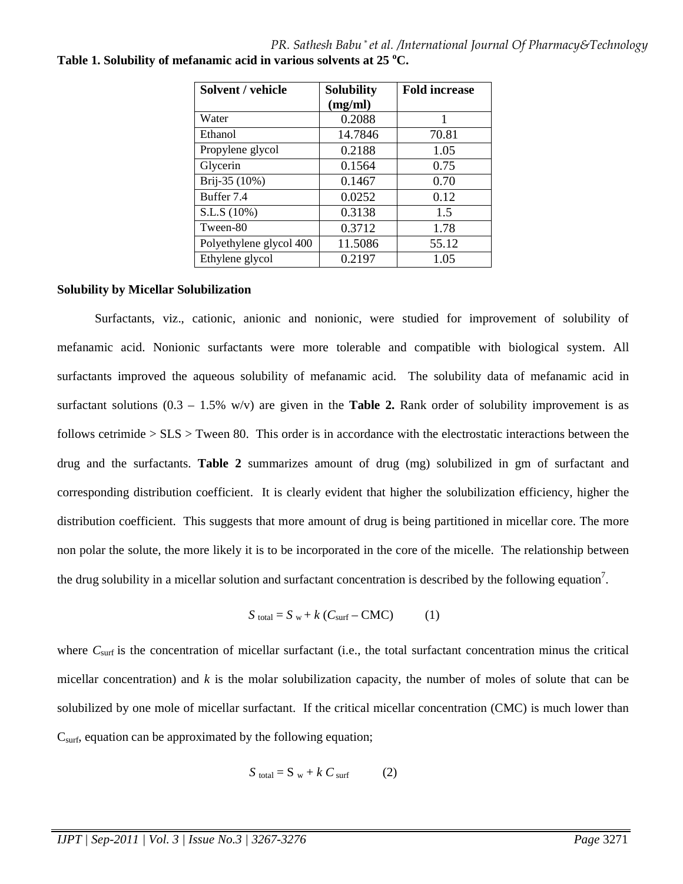*PR. Sathesh Babu \* et al. /International Journal Of Pharmacy&Technology* **Table 1. Solubility of mefanamic acid in various solvents at 25 <sup>o</sup>C.**

| Solvent / vehicle       | <b>Solubility</b> | <b>Fold increase</b> |
|-------------------------|-------------------|----------------------|
|                         | (mg/ml)           |                      |
| Water                   | 0.2088            |                      |
| Ethanol                 | 14.7846           | 70.81                |
| Propylene glycol        | 0.2188            | 1.05                 |
| Glycerin                | 0.1564            | 0.75                 |
| Brij-35 (10%)           | 0.1467            | 0.70                 |
| Buffer 7.4              | 0.0252            | 0.12                 |
| S.L.S (10%)             | 0.3138            | 15                   |
| Tween-80                | 0.3712            | 1.78                 |
| Polyethylene glycol 400 | 11.5086           | 55.12                |
| Ethylene glycol         | 0.2197            | 1.05                 |

#### **Solubility by Micellar Solubilization**

Surfactants, viz., cationic, anionic and nonionic, were studied for improvement of solubility of mefanamic acid. Nonionic surfactants were more tolerable and compatible with biological system. All surfactants improved the aqueous solubility of mefanamic acid. The solubility data of mefanamic acid in surfactant solutions  $(0.3 - 1.5\% \text{ w/v})$  are given in the **Table 2.** Rank order of solubility improvement is as follows cetrimide  $> SLS$  > Tween 80. This order is in accordance with the electrostatic interactions between the drug and the surfactants. **Table 2** summarizes amount of drug (mg) solubilized in gm of surfactant and corresponding distribution coefficient. It is clearly evident that higher the solubilization efficiency, higher the distribution coefficient. This suggests that more amount of drug is being partitioned in micellar core. The more non polar the solute, the more likely it is to be incorporated in the core of the micelle. The relationship between the drug solubility in a micellar solution and surfactant concentration is described by the following equation<sup>7</sup>.

$$
S_{\text{total}} = S_{\text{w}} + k (C_{\text{surf}} - \text{CMC}) \tag{1}
$$

where  $C_{\text{surf}}$  is the concentration of micellar surfactant (i.e., the total surfactant concentration minus the critical micellar concentration) and *k* is the molar solubilization capacity, the number of moles of solute that can be solubilized by one mole of micellar surfactant. If the critical micellar concentration (CMC) is much lower than  $C<sub>surf</sub>$ , equation can be approximated by the following equation;

$$
S_{\text{total}} = S_{\text{w}} + k C_{\text{surf}} \tag{2}
$$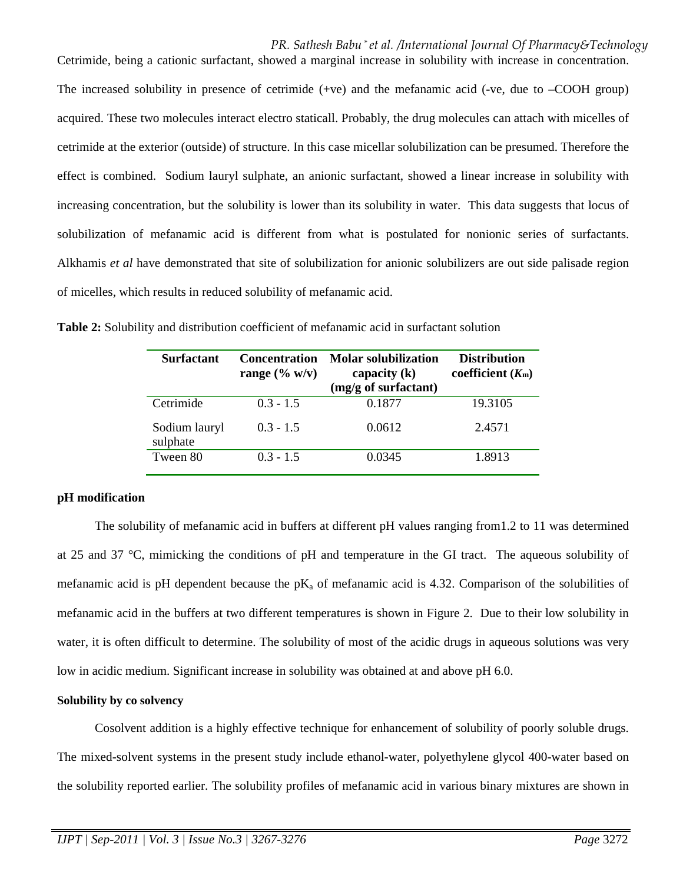# *PR. Sathesh Babu \* et al. /International Journal Of Pharmacy&Technology*

The increased solubility in presence of cetrimide (+ve) and the mefanamic acid (-ve, due to –COOH group) acquired. These two molecules interact electro staticall. Probably, the drug molecules can attach with micelles of cetrimide at the exterior (outside) of structure. In this case micellar solubilization can be presumed. Therefore the effect is combined. Sodium lauryl sulphate, an anionic surfactant, showed a linear increase in solubility with increasing concentration, but the solubility is lower than its solubility in water. This data suggests that locus of solubilization of mefanamic acid is different from what is postulated for nonionic series of surfactants. Alkhamis *et al* have demonstrated that site of solubilization for anionic solubilizers are out side palisade region of micelles, which results in reduced solubility of mefanamic acid.

Cetrimide, being a cationic surfactant, showed a marginal increase in solubility with increase in concentration.

| <b>Surfactant</b>         | <b>Concentration</b><br>range $(\% w/v)$ | <b>Molar solubilization</b><br>capacity $(k)$<br>(mg/g of surfactant) | <b>Distribution</b><br>coefficient $(Km)$ |
|---------------------------|------------------------------------------|-----------------------------------------------------------------------|-------------------------------------------|
| Cetrimide                 | $0.3 - 1.5$                              | 0.1877                                                                | 19.3105                                   |
| Sodium lauryl<br>sulphate | $0.3 - 1.5$                              | 0.0612                                                                | 2.4571                                    |
| Tween 80                  | $0.3 - 1.5$                              | 0.0345                                                                | 1.8913                                    |

**Table 2:** Solubility and distribution coefficient of mefanamic acid in surfactant solution

# **pH modification**

The solubility of mefanamic acid in buffers at different pH values ranging from1.2 to 11 was determined at 25 and 37 °C, mimicking the conditions of pH and temperature in the GI tract. The aqueous solubility of mefanamic acid is pH dependent because the  $pK_a$  of mefanamic acid is 4.32. Comparison of the solubilities of mefanamic acid in the buffers at two different temperatures is shown in Figure 2. Due to their low solubility in water, it is often difficult to determine. The solubility of most of the acidic drugs in aqueous solutions was very low in acidic medium. Significant increase in solubility was obtained at and above pH 6.0.

# **Solubility by co solvency**

Cosolvent addition is a highly effective technique for enhancement of solubility of poorly soluble drugs. The mixed-solvent systems in the present study include ethanol-water, polyethylene glycol 400-water based on the solubility reported earlier. The solubility profiles of mefanamic acid in various binary mixtures are shown in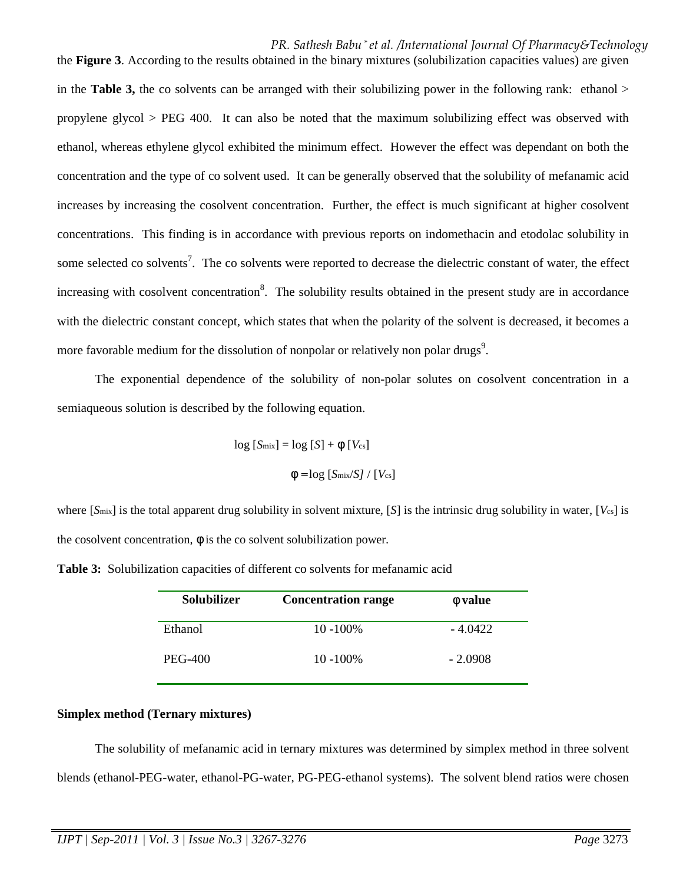# *PR. Sathesh Babu \* et al. /International Journal Of Pharmacy&Technology*

in the **Table 3,** the co solvents can be arranged with their solubilizing power in the following rank: ethanol > propylene glycol > PEG 400. It can also be noted that the maximum solubilizing effect was observed with ethanol, whereas ethylene glycol exhibited the minimum effect. However the effect was dependant on both the concentration and the type of co solvent used. It can be generally observed that the solubility of mefanamic acid increases by increasing the cosolvent concentration. Further, the effect is much significant at higher cosolvent concentrations. This finding is in accordance with previous reports on indomethacin and etodolac solubility in some selected co solvents<sup>7</sup>. The co solvents were reported to decrease the dielectric constant of water, the effect increasing with cosolvent concentration<sup>8</sup>. The solubility results obtained in the present study are in accordance with the dielectric constant concept, which states that when the polarity of the solvent is decreased, it becomes a more favorable medium for the dissolution of nonpolar or relatively non polar drugs<sup>9</sup>.

the **Figure 3**. According to the results obtained in the binary mixtures (solubilization capacities values) are given

The exponential dependence of the solubility of non-polar solutes on cosolvent concentration in a semiaqueous solution is described by the following equation.

$$
\log [S_{\text{mix}}] = \log [S] + \phi [V_{\text{cs}}]
$$

$$
\phi = \log [S_{\text{mix}}/S] / [V_{\text{cs}}]
$$

where [*S*mix] is the total apparent drug solubility in solvent mixture, [*S*] is the intrinsic drug solubility in water, [*V*cs] is the cosolvent concentration,  $\phi$  is the co solvent solubilization power.

| Solubilizer    | <b>Concentration range</b> | $\phi$ value |
|----------------|----------------------------|--------------|
| Ethanol        | $10 - 100\%$               | $-4.0422$    |
| <b>PEG-400</b> | $10 - 100\%$               | $-2.0908$    |

**Table 3:** Solubilization capacities of different co solvents for mefanamic acid

# **Simplex method (Ternary mixtures)**

The solubility of mefanamic acid in ternary mixtures was determined by simplex method in three solvent blends (ethanol-PEG-water, ethanol-PG-water, PG-PEG-ethanol systems). The solvent blend ratios were chosen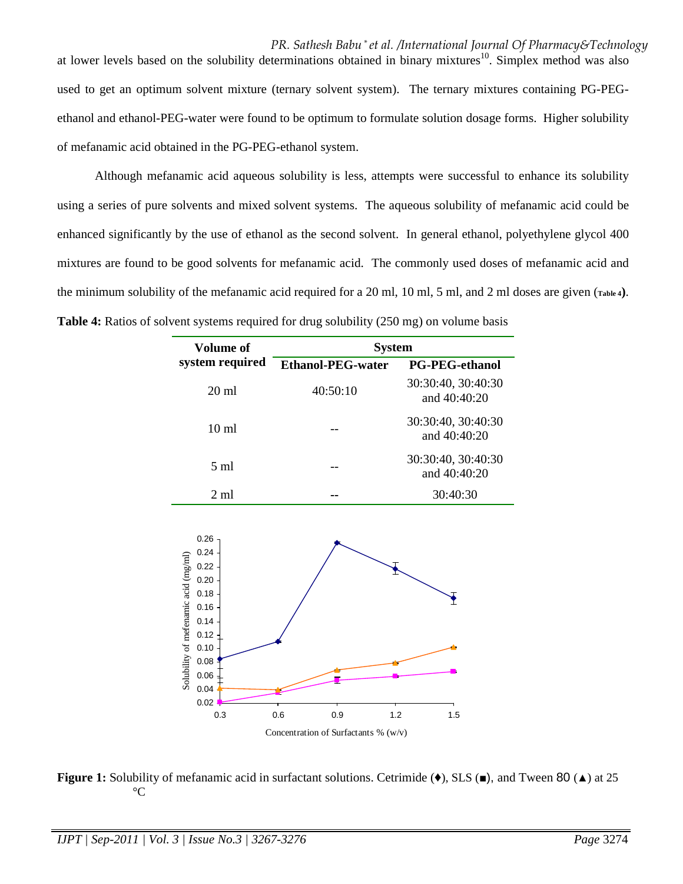*PR. Sathesh Babu \* et al. /International Journal Of Pharmacy&Technology* at lower levels based on the solubility determinations obtained in binary mixtures<sup>10</sup>. Simplex method was also used to get an optimum solvent mixture (ternary solvent system). The ternary mixtures containing PG-PEGethanol and ethanol-PEG-water were found to be optimum to formulate solution dosage forms. Higher solubility of mefanamic acid obtained in the PG-PEG-ethanol system.

Although mefanamic acid aqueous solubility is less, attempts were successful to enhance its solubility using a series of pure solvents and mixed solvent systems. The aqueous solubility of mefanamic acid could be enhanced significantly by the use of ethanol as the second solvent. In general ethanol, polyethylene glycol 400 mixtures are found to be good solvents for mefanamic acid. The commonly used doses of mefanamic acid and the minimum solubility of the mefanamic acid required for a 20 ml, 10 ml, 5 ml, and 2 ml doses are given (**Table 4)**. **Table 4:** Ratios of solvent systems required for drug solubility (250 mg) on volume basis

| Volume of       | <b>System</b>            |                                      |  |
|-----------------|--------------------------|--------------------------------------|--|
| system required | <b>Ethanol-PEG-water</b> | <b>PG-PEG-ethanol</b>                |  |
| $20 \text{ ml}$ | 40:50:10                 | 30:30:40, 30:40:30<br>and 40:40:20   |  |
| $10 \text{ ml}$ |                          | 30:30:40, 30:40:30<br>and $40:40:20$ |  |
| $5 \text{ ml}$  |                          | 30:30:40, 30:40:30<br>and 40:40:20   |  |
| $2 \text{ ml}$  |                          | 30:40:30                             |  |



**Figure 1:** Solubility of mefanamic acid in surfactant solutions. Cetrimide (♦), SLS (■), and Tween 80 (▲) at 25  $\rm ^{\circ}C$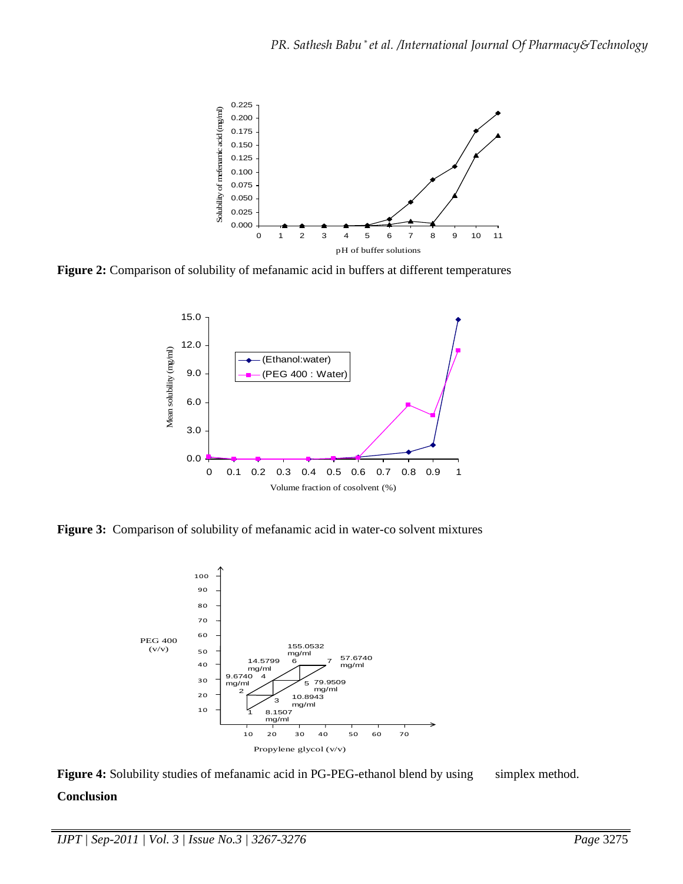

**Figure 2:** Comparison of solubility of mefanamic acid in buffers at different temperatures



**Figure 3:** Comparison of solubility of mefanamic acid in water-co solvent mixtures



Figure 4: Solubility studies of mefanamic acid in PG-PEG-ethanol blend by using simplex method.

# **Conclusion**